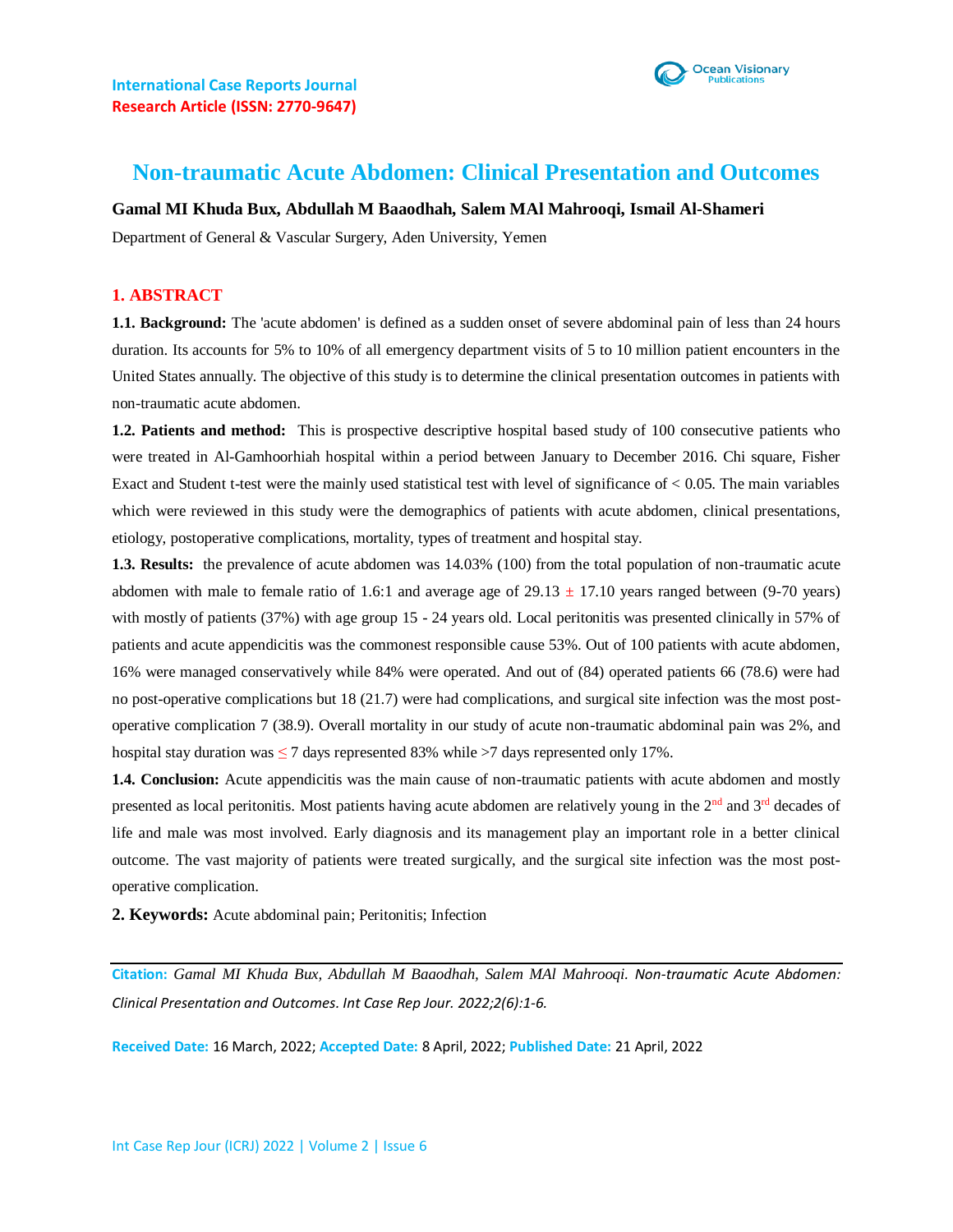

# **Non-traumatic Acute Abdomen: Clinical Presentation and Outcomes**

### **Gamal MI Khuda Bux, Abdullah M Baaodhah, Salem MAl Mahrooqi, Ismail Al-Shameri**

Department of General & Vascular Surgery, Aden University, Yemen

### **1. ABSTRACT**

**1.1. Background:** The 'acute abdomen' is defined as a sudden onset of severe abdominal pain of less than 24 hours duration. Its accounts for 5% to 10% of all emergency department visits of 5 to 10 million patient encounters in the United States annually. The objective of this study is to determine the clinical presentation outcomes in patients with non-traumatic acute abdomen.

**1.2. Patients and method:** This is prospective descriptive hospital based study of 100 consecutive patients who were treated in Al-Gamhoorhiah hospital within a period between January to December 2016. Chi square, Fisher Exact and Student t-test were the mainly used statistical test with level of significance of  $< 0.05$ . The main variables which were reviewed in this study were the demographics of patients with acute abdomen, clinical presentations, etiology, postoperative complications, mortality, types of treatment and hospital stay.

**1.3. Results:** the prevalence of acute abdomen was 14.03% (100) from the total population of non-traumatic acute abdomen with male to female ratio of 1.6:1 and average age of  $29.13 \pm 17.10$  years ranged between (9-70 years) with mostly of patients (37%) with age group 15 - 24 years old. Local peritonitis was presented clinically in 57% of patients and acute appendicitis was the commonest responsible cause 53%. Out of 100 patients with acute abdomen, 16% were managed conservatively while 84% were operated. And out of (84) operated patients 66 (78.6) were had no post-operative complications but 18 (21.7) were had complications, and surgical site infection was the most postoperative complication 7 (38.9). Overall mortality in our study of acute non-traumatic abdominal pain was 2%, and hospital stay duration was  $\leq 7$  days represented 83% while  $>7$  days represented only 17%.

**1.4. Conclusion:** Acute appendicitis was the main cause of non-traumatic patients with acute abdomen and mostly presented as local peritonitis. Most patients having acute abdomen are relatively young in the 2nd and 3rd decades of life and male was most involved. Early diagnosis and its management play an important role in a better clinical outcome. The vast majority of patients were treated surgically, and the surgical site infection was the most postoperative complication.

**2. Keywords:** Acute abdominal pain; Peritonitis; Infection

**Citation:** *Gamal MI Khuda Bux, Abdullah M Baaodhah, Salem MAl Mahrooqi. Non-traumatic Acute Abdomen: Clinical Presentation and Outcomes. Int Case Rep Jour. 2022;2(6):1-6.*

**Received Date:** 16 March, 2022; **Accepted Date:** 8 April, 2022; **Published Date:** 21 April, 2022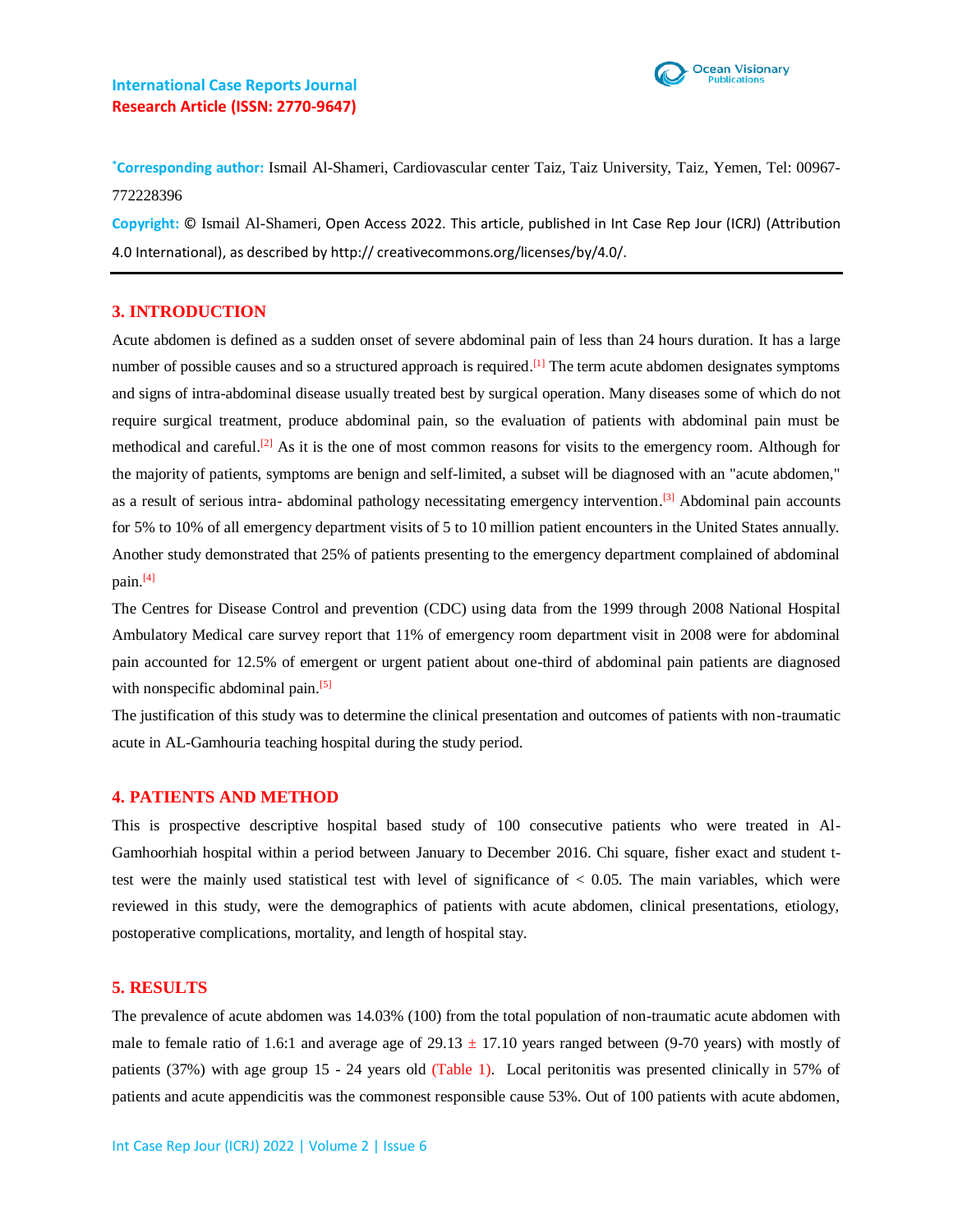# **International Case Reports Journal Research Article (ISSN: 2770-9647)**



**\*Corresponding author:** Ismail Al-Shameri, Cardiovascular center Taiz, Taiz University, Taiz, Yemen, Tel: 00967- 772228396

**Copyright:** © Ismail Al-Shameri, Open Access 2022. This article, published in Int Case Rep Jour (ICRJ) (Attribution 4.0 International), as described by http:// creativecommons.org/licenses/by/4.0/.

### **3. INTRODUCTION**

Acute abdomen is defined as a sudden onset of severe abdominal pain of less than 24 hours duration. It has a large number of possible causes and so a structured approach is required.<sup>[1]</sup> The term acute abdomen designates symptoms and signs of intra-abdominal disease usually treated best by surgical operation. Many diseases some of which do not require surgical treatment, produce abdominal pain, so the evaluation of patients with abdominal pain must be methodical and careful.<sup>[2]</sup> As it is the one of most common reasons for visits to the emergency room. Although for the majority of patients, symptoms are benign and self-limited, a subset will be diagnosed with an "acute abdomen," as a result of serious intra- abdominal pathology necessitating emergency intervention.<sup>[3]</sup> Abdominal pain accounts for 5% to 10% of all emergency department visits of 5 to 10 million patient encounters in the United States annually. Another study demonstrated that 25% of patients presenting to the emergency department complained of abdominal pain. [4]

The Centres for Disease Control and prevention (CDC) using data from the 1999 through 2008 National Hospital Ambulatory Medical care survey report that 11% of emergency room department visit in 2008 were for abdominal pain accounted for 12.5% of emergent or urgent patient about one-third of abdominal pain patients are diagnosed with nonspecific abdominal pain.<sup>[5]</sup>

The justification of this study was to determine the clinical presentation and outcomes of patients with non-traumatic acute in AL-Gamhouria teaching hospital during the study period.

### **4. PATIENTS AND METHOD**

This is prospective descriptive hospital based study of 100 consecutive patients who were treated in Al-Gamhoorhiah hospital within a period between January to December 2016. Chi square, fisher exact and student ttest were the mainly used statistical test with level of significance of  $< 0.05$ . The main variables, which were reviewed in this study, were the demographics of patients with acute abdomen, clinical presentations, etiology, postoperative complications, mortality, and length of hospital stay.

#### **5. RESULTS**

The prevalence of acute abdomen was 14.03% (100) from the total population of non-traumatic acute abdomen with male to female ratio of 1.6:1 and average age of  $29.13 \pm 17.10$  years ranged between (9-70 years) with mostly of patients (37%) with age group 15 - 24 years old (Table 1). Local peritonitis was presented clinically in 57% of patients and acute appendicitis was the commonest responsible cause 53%. Out of 100 patients with acute abdomen,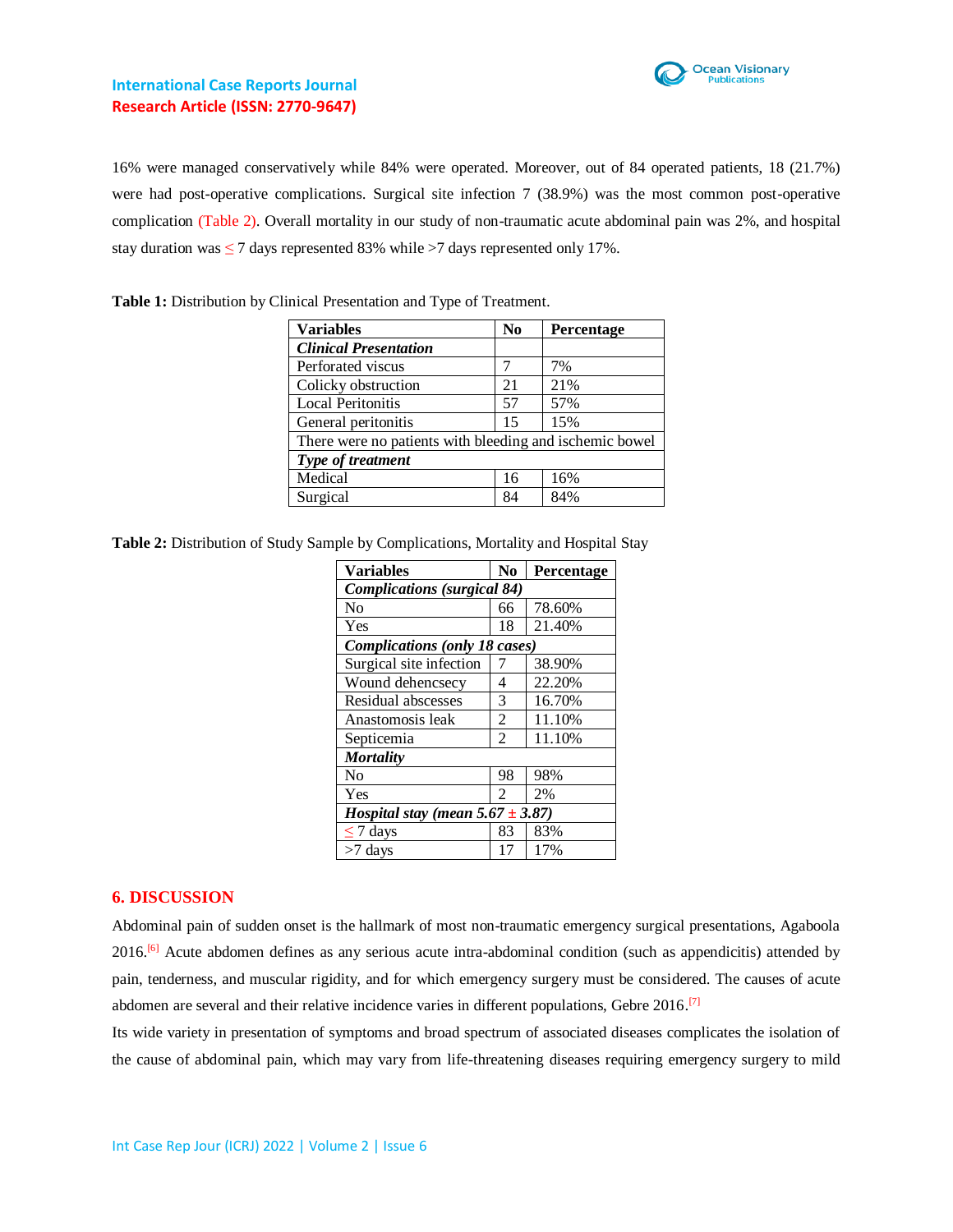

# **International Case Reports Journal Research Article (ISSN: 2770-9647)**

16% were managed conservatively while 84% were operated. Moreover, out of 84 operated patients, 18 (21.7%) were had post-operative complications. Surgical site infection 7 (38.9%) was the most common post-operative complication (Table 2). Overall mortality in our study of non-traumatic acute abdominal pain was 2%, and hospital stay duration was  $\leq 7$  days represented 83% while  $>7$  days represented only 17%.

| <b>Variables</b>                                        | $\bf No$ | Percentage |  |  |  |
|---------------------------------------------------------|----------|------------|--|--|--|
| <b>Clinical Presentation</b>                            |          |            |  |  |  |
| Perforated viscus                                       |          | 7%         |  |  |  |
| Colicky obstruction                                     | 21       | 21%        |  |  |  |
| <b>Local Peritonitis</b>                                | 57       | 57%        |  |  |  |
| General peritonitis                                     | 15       | 15%        |  |  |  |
| There were no patients with bleeding and ischemic bowel |          |            |  |  |  |
| Type of treatment                                       |          |            |  |  |  |
| Medical                                                 | 16       | 16%        |  |  |  |
| Surgical                                                | 84       | 84%        |  |  |  |

**Table 1:** Distribution by Clinical Presentation and Type of Treatment.

| Table 2: Distribution of Study Sample by Complications, Mortality and Hospital Stay |  |  |  |
|-------------------------------------------------------------------------------------|--|--|--|
|                                                                                     |  |  |  |

| <b>Variables</b>                      | N <sub>0</sub> | Percentage |  |  |  |  |
|---------------------------------------|----------------|------------|--|--|--|--|
| <b>Complications</b> (surgical 84)    |                |            |  |  |  |  |
| N <sub>0</sub>                        | 66             | 78.60%     |  |  |  |  |
| Yes                                   | 18             | 21.40%     |  |  |  |  |
| <b>Complications</b> (only 18 cases)  |                |            |  |  |  |  |
| Surgical site infection               |                | 38.90%     |  |  |  |  |
| Wound dehencsecy                      | 4              | 22.20%     |  |  |  |  |
| Residual abscesses                    | 3              | 16.70%     |  |  |  |  |
| Anastomosis leak                      | 2              | 11.10%     |  |  |  |  |
| Septicemia                            | $\overline{2}$ | 11.10%     |  |  |  |  |
| <b>Mortality</b>                      |                |            |  |  |  |  |
| N <sub>0</sub>                        | 98             | 98%        |  |  |  |  |
| Yes                                   | 2              | 2%         |  |  |  |  |
| Hospital stay (mean $5.67 \pm 3.87$ ) |                |            |  |  |  |  |
| $\leq$ 7 days                         | 83             | 83%        |  |  |  |  |
| $>7$ days                             | 17             | 17%        |  |  |  |  |

# **6. DISCUSSION**

Abdominal pain of sudden onset is the hallmark of most non-traumatic emergency surgical presentations, Agaboola 2016.<sup>[6]</sup> Acute abdomen defines as any serious acute intra-abdominal condition (such as appendicitis) attended by pain, tenderness, and muscular rigidity, and for which emergency surgery must be considered. The causes of acute abdomen are several and their relative incidence varies in different populations, Gebre 2016.<sup>[7]</sup>

Its wide variety in presentation of symptoms and broad spectrum of associated diseases complicates the isolation of the cause of abdominal pain, which may vary from life-threatening diseases requiring emergency surgery to mild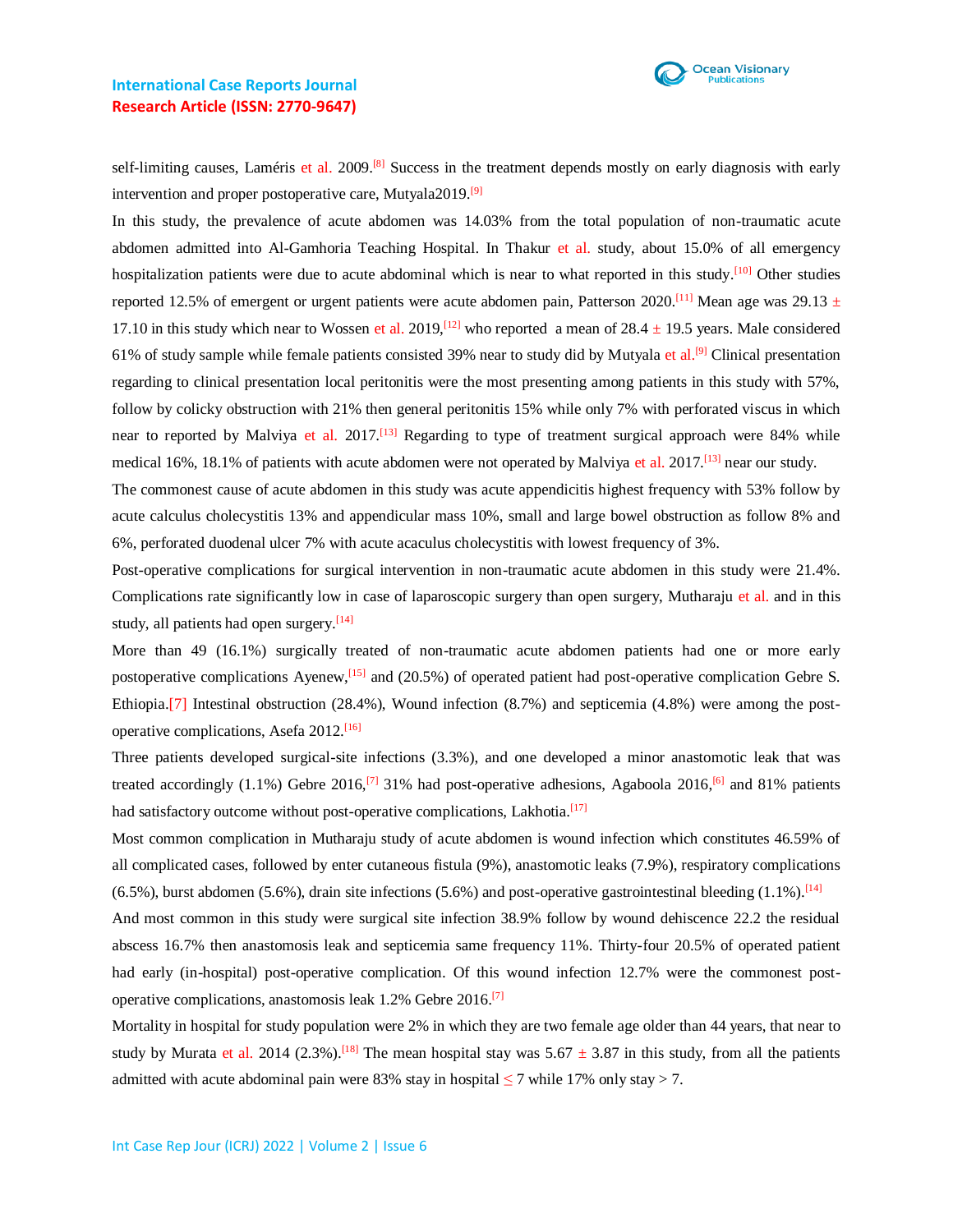

# **International Case Reports Journal Research Article (ISSN: 2770-9647)**

self-limiting causes, Laméris et al. 2009.<sup>[8]</sup> Success in the treatment depends mostly on early diagnosis with early intervention and proper postoperative care, Mutyala2019.<sup>[9]</sup>

In this study, the prevalence of acute abdomen was 14.03% from the total population of non-traumatic acute abdomen admitted into Al-Gamhoria Teaching Hospital. In Thakur et al. study, about 15.0% of all emergency hospitalization patients were due to acute abdominal which is near to what reported in this study.<sup>[10]</sup> Other studies reported 12.5% of emergent or urgent patients were acute abdomen pain, Patterson 2020.<sup>[11]</sup> Mean age was 29.13  $\pm$ 17.10 in this study which near to Wossen et al. 2019,<sup>[12]</sup> who reported a mean of 28.4  $\pm$  19.5 years. Male considered 61% of study sample while female patients consisted 39% near to study did by Mutyala et al.<sup>[9]</sup> Clinical presentation regarding to clinical presentation local peritonitis were the most presenting among patients in this study with 57%, follow by colicky obstruction with 21% then general peritonitis 15% while only 7% with perforated viscus in which near to reported by Malviya et al. 2017.<sup>[13]</sup> Regarding to type of treatment surgical approach were 84% while medical 16%, 18.1% of patients with acute abdomen were not operated by Malviya et al. 2017.<sup>[13]</sup> near our study.

The commonest cause of acute abdomen in this study was acute appendicitis highest frequency with 53% follow by acute calculus cholecystitis 13% and appendicular mass 10%, small and large bowel obstruction as follow 8% and 6%, perforated duodenal ulcer 7% with acute acaculus cholecystitis with lowest frequency of 3%.

Post-operative complications for surgical intervention in non-traumatic acute abdomen in this study were 21.4%. Complications rate significantly low in case of laparoscopic surgery than open surgery, Mutharaju et al. and in this study, all patients had open surgery.<sup>[14]</sup>

More than 49 (16.1%) surgically treated of non-traumatic acute abdomen patients had one or more early postoperative complications Ayenew,<sup>[15]</sup> and (20.5%) of operated patient had post-operative complication Gebre S. Ethiopia.[7] Intestinal obstruction (28.4%), Wound infection (8.7%) and septicemia (4.8%) were among the postoperative complications, Asefa 2012.<sup>[16]</sup>

Three patients developed surgical-site infections (3.3%), and one developed a minor anastomotic leak that was treated accordingly (1.1%) Gebre 2016,<sup>[7]</sup> 31% had post-operative adhesions, Agaboola 2016,<sup>[6]</sup> and 81% patients had satisfactory outcome without post-operative complications, Lakhotia.<sup>[17]</sup>

Most common complication in Mutharaju study of acute abdomen is wound infection which constitutes 46.59% of all complicated cases, followed by enter cutaneous fistula (9%), anastomotic leaks (7.9%), respiratory complications  $(6.5\%)$ , burst abdomen (5.6%), drain site infections (5.6%) and post-operative gastrointestinal bleeding (1.1%).<sup>[14]</sup>

And most common in this study were surgical site infection 38.9% follow by wound dehiscence 22.2 the residual abscess 16.7% then anastomosis leak and septicemia same frequency 11%. Thirty-four 20.5% of operated patient had early (in-hospital) post-operative complication. Of this wound infection 12.7% were the commonest postoperative complications, anastomosis leak 1.2% Gebre 2016.<sup>[7]</sup>

Mortality in hospital for study population were 2% in which they are two female age older than 44 years, that near to study by Murata et al. 2014 (2.3%).<sup>[18]</sup> The mean hospital stay was  $5.67 \pm 3.87$  in this study, from all the patients admitted with acute abdominal pain were 83% stay in hospital  $\leq$  7 while 17% only stay  $>$  7.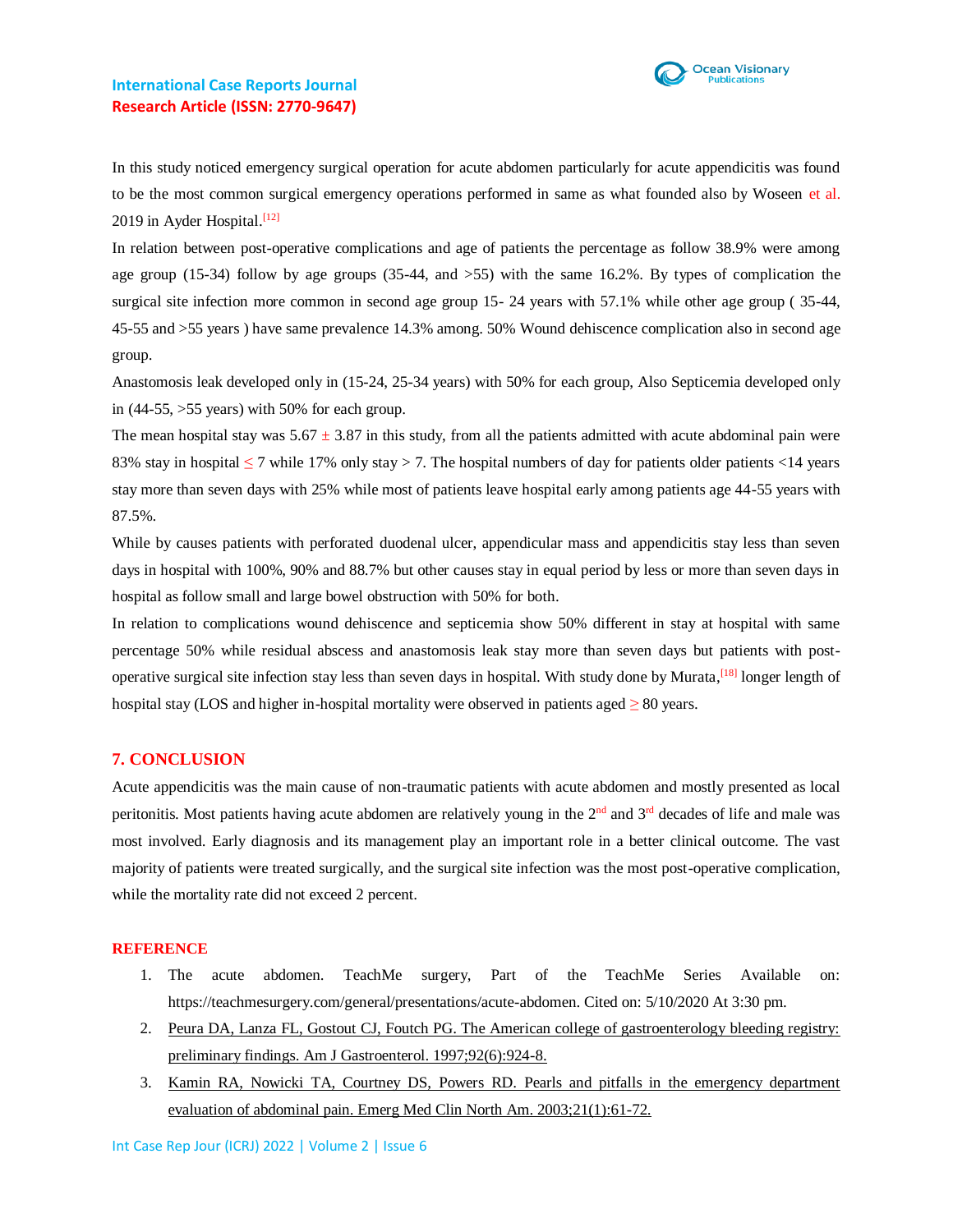

In this study noticed emergency surgical operation for acute abdomen particularly for acute appendicitis was found to be the most common surgical emergency operations performed in same as what founded also by Woseen et al. 2019 in Ayder Hospital.<sup>[12]</sup>

In relation between post-operative complications and age of patients the percentage as follow 38.9% were among age group (15-34) follow by age groups (35-44, and >55) with the same 16.2%. By types of complication the surgical site infection more common in second age group 15- 24 years with 57.1% while other age group ( 35-44, 45-55 and >55 years ) have same prevalence 14.3% among. 50% Wound dehiscence complication also in second age group.

Anastomosis leak developed only in (15-24, 25-34 years) with 50% for each group, Also Septicemia developed only in  $(44-55, >55$  years) with 50% for each group.

The mean hospital stay was  $5.67 \pm 3.87$  in this study, from all the patients admitted with acute abdominal pain were 83% stay in hospital  $\leq$  7 while 17% only stay > 7. The hospital numbers of day for patients older patients <14 years stay more than seven days with 25% while most of patients leave hospital early among patients age 44-55 years with 87.5%.

While by causes patients with perforated duodenal ulcer, appendicular mass and appendicitis stay less than seven days in hospital with 100%, 90% and 88.7% but other causes stay in equal period by less or more than seven days in hospital as follow small and large bowel obstruction with 50% for both.

In relation to complications wound dehiscence and septicemia show 50% different in stay at hospital with same percentage 50% while residual abscess and anastomosis leak stay more than seven days but patients with postoperative surgical site infection stay less than seven days in hospital. With study done by Murata,<sup>[18]</sup> longer length of hospital stay (LOS and higher in-hospital mortality were observed in patients aged  $\geq 80$  years.

# **7. CONCLUSION**

Acute appendicitis was the main cause of non-traumatic patients with acute abdomen and mostly presented as local peritonitis. Most patients having acute abdomen are relatively young in the  $2<sup>nd</sup>$  and  $3<sup>rd</sup>$  decades of life and male was most involved. Early diagnosis and its management play an important role in a better clinical outcome. The vast majority of patients were treated surgically, and the surgical site infection was the most post-operative complication, while the mortality rate did not exceed 2 percent.

### **REFERENCE**

- 1. The acute abdomen. TeachMe surgery, Part of the TeachMe Series Available on: https://teachmesurgery.com/general/presentations/acute-abdomen. Cited on: 5/10/2020 At 3:30 pm.
- 2. [Peura DA, Lanza FL, Gostout CJ, Foutch PG. The American college of gastroenterology bleeding registry:](https://pubmed.ncbi.nlm.nih.gov/9177503/)  [preliminary findings. Am J Gastroenterol. 1997;92\(6\):924-8.](https://pubmed.ncbi.nlm.nih.gov/9177503/)
- 3. [Kamin RA, Nowicki TA, Courtney DS, Powers RD. Pearls and pitfalls in the emergency department](https://pubmed.ncbi.nlm.nih.gov/12630731/)  [evaluation of abdominal pain. Emerg Med Clin North Am. 2003;21\(1\):61-72.](https://pubmed.ncbi.nlm.nih.gov/12630731/)